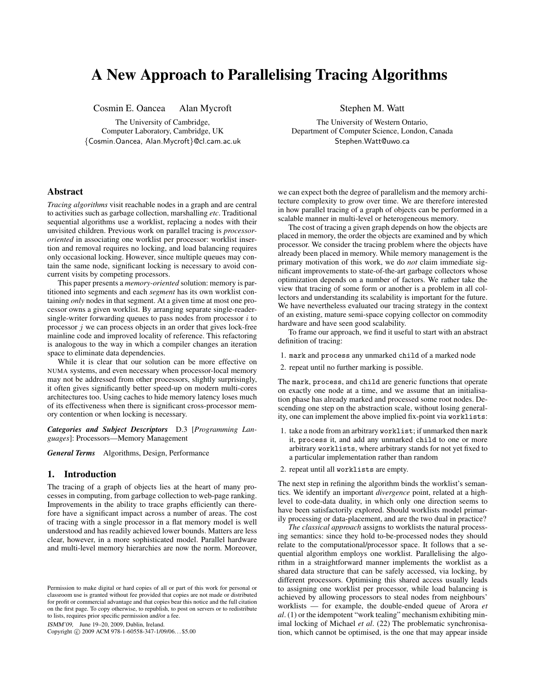# A New Approach to Parallelising Tracing Algorithms

Cosmin E. Oancea Alan Mycroft

The University of Cambridge, Computer Laboratory, Cambridge, UK {Cosmin.Oancea, Alan.Mycroft}@cl.cam.ac.uk Stephen M. Watt

The University of Western Ontario, Department of Computer Science, London, Canada Stephen.Watt@uwo.ca

# Abstract

*Tracing algorithms* visit reachable nodes in a graph and are central to activities such as garbage collection, marshalling *etc*. Traditional sequential algorithms use a worklist, replacing a nodes with their unvisited children. Previous work on parallel tracing is *processororiented* in associating one worklist per processor: worklist insertion and removal requires no locking, and load balancing requires only occasional locking. However, since multiple queues may contain the same node, significant locking is necessary to avoid concurrent visits by competing processors.

This paper presents a *memory-oriented* solution: memory is partitioned into segments and each *segment* has its own worklist containing *only* nodes in that segment. At a given time at most one processor owns a given worklist. By arranging separate single-readersingle-writer forwarding queues to pass nodes from processor  $i$  to processor  $j$  we can process objects in an order that gives lock-free mainline code and improved locality of reference. This refactoring is analogous to the way in which a compiler changes an iteration space to eliminate data dependencies.

While it is clear that our solution can be more effective on NUMA systems, and even necessary when processor-local memory may not be addressed from other processors, slightly surprisingly, it often gives significantly better speed-up on modern multi-cores architectures too. Using caches to hide memory latency loses much of its effectiveness when there is significant cross-processor memory contention or when locking is necessary.

*Categories and Subject Descriptors* D.3 [*Programming Languages*]: Processors—Memory Management

*General Terms* Algorithms, Design, Performance

# 1. Introduction

The tracing of a graph of objects lies at the heart of many processes in computing, from garbage collection to web-page ranking. Improvements in the ability to trace graphs efficiently can therefore have a significant impact across a number of areas. The cost of tracing with a single processor in a flat memory model is well understood and has readily achieved lower bounds. Matters are less clear, however, in a more sophisticated model. Parallel hardware and multi-level memory hierarchies are now the norm. Moreover,

ISMM'09, June 19–20, 2009, Dublin, Ireland.

Copyright © 2009 ACM 978-1-60558-347-1/09/06... \$5.00

we can expect both the degree of parallelism and the memory architecture complexity to grow over time. We are therefore interested in how parallel tracing of a graph of objects can be performed in a scalable manner in multi-level or heterogeneous memory.

The cost of tracing a given graph depends on how the objects are placed in memory, the order the objects are examined and by which processor. We consider the tracing problem where the objects have already been placed in memory. While memory management is the primary motivation of this work, we do *not* claim immediate significant improvements to state-of-the-art garbage collectors whose optimization depends on a number of factors. We rather take the view that tracing of some form or another is a problem in all collectors and understanding its scalability is important for the future. We have nevertheless evaluated our tracing strategy in the context of an existing, mature semi-space copying collector on commodity hardware and have seen good scalability.

To frame our approach, we find it useful to start with an abstract definition of tracing:

- 1. mark and process any unmarked child of a marked node
- 2. repeat until no further marking is possible.

The mark, process, and child are generic functions that operate on exactly one node at a time, and we assume that an initialisation phase has already marked and processed some root nodes. Descending one step on the abstraction scale, without losing generality, one can implement the above implied fix-point via worklists:

- 1. take a node from an arbitrary worklist; if unmarked then mark it, process it, and add any unmarked child to one or more arbitrary worklists, where arbitrary stands for not yet fixed to a particular implementation rather than random
- 2. repeat until all worklists are empty.

The next step in refining the algorithm binds the worklist's semantics. We identify an important *divergence* point, related at a highlevel to code-data duality, in which only one direction seems to have been satisfactorily explored. Should worklists model primarily processing or data-placement, and are the two dual in practice?

*The classical approach* assigns to worklists the natural processing semantics: since they hold to-be-processed nodes they should relate to the computational/processor space. It follows that a sequential algorithm employs one worklist. Parallelising the algorithm in a straightforward manner implements the worklist as a shared data structure that can be safely accessed, via locking, by different processors. Optimising this shared access usually leads to assigning one worklist per processor, while load balancing is achieved by allowing processors to steal nodes from neighbours' worklists — for example, the double-ended queue of Arora *et al*. (1) or the idempotent "work tealing" mechanism exhibiting minimal locking of Michael *et al*. (22) The problematic synchronisation, which cannot be optimised, is the one that may appear inside

Permission to make digital or hard copies of all or part of this work for personal or classroom use is granted without fee provided that copies are not made or distributed for profit or commercial advantage and that copies bear this notice and the full citation on the first page. To copy otherwise, to republish, to post on servers or to redistribute to lists, requires prior specific permission and/or a fee.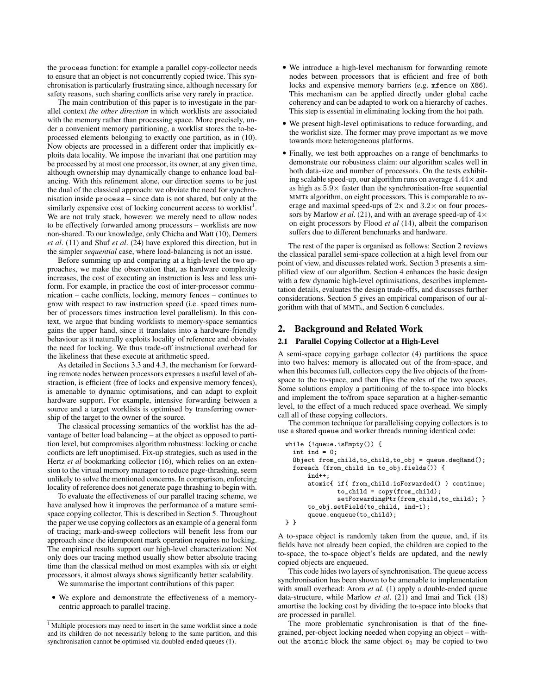the process function: for example a parallel copy-collector needs to ensure that an object is not concurrently copied twice. This synchronisation is particularly frustrating since, although necessary for safety reasons, such sharing conflicts arise very rarely in practice.

The main contribution of this paper is to investigate in the parallel context *the other direction* in which worklists are associated with the memory rather than processing space. More precisely, under a convenient memory partitioning, a worklist stores the to-beprocessed elements belonging to exactly one partition, as in (10). Now objects are processed in a different order that implicitly exploits data locality. We impose the invariant that one partition may be processed by at most one processor, its owner, at any given time, although ownership may dynamically change to enhance load balancing. With this refinement alone, our direction seems to be just the dual of the classical approach: we obviate the need for synchronisation inside process – since data is not shared, but only at the similarly expensive cost of locking concurrent access to worklist<sup>1</sup>. We are not truly stuck, however: we merely need to allow nodes to be effectively forwarded among processors – worklists are now non-shared. To our knowledge, only Chicha and Watt (10), Demers *et al*. (11) and Shuf *et al*. (24) have explored this direction, but in the simpler *sequential* case, where load-balancing is not an issue.

Before summing up and comparing at a high-level the two approaches, we make the observation that, as hardware complexity increases, the cost of executing an instruction is less and less uniform. For example, in practice the cost of inter-processor communication – cache conflicts, locking, memory fences – continues to grow with respect to raw instruction speed (i.e. speed times number of processors times instruction level parallelism). In this context, we argue that binding worklists to memory-space semantics gains the upper hand, since it translates into a hardware-friendly behaviour as it naturally exploits locality of reference and obviates the need for locking. We thus trade-off instructional overhead for the likeliness that these execute at arithmetic speed.

As detailed in Sections 3.3 and 4.3, the mechanism for forwarding remote nodes between processors expresses a useful level of abstraction, is efficient (free of locks and expensive memory fences), is amenable to dynamic optimisations, and can adapt to exploit hardware support. For example, intensive forwarding between a source and a target worklists is optimised by transferring ownership of the target to the owner of the source.

The classical processing semantics of the worklist has the advantage of better load balancing – at the object as opposed to partition level, but compromises algorithm robustness: locking or cache conflicts are left unoptimised. Fix-up strategies, such as used in the Hertz *et al* bookmarking collector (16), which relies on an extension to the virtual memory manager to reduce page-thrashing, seem unlikely to solve the mentioned concerns. In comparison, enforcing locality of reference does not generate page thrashing to begin with.

To evaluate the effectiveness of our parallel tracing scheme, we have analysed how it improves the performance of a mature semispace copying collector. This is described in Section 5. Throughout the paper we use copying collectors as an example of a general form of tracing; mark-and-sweep collectors will benefit less from our approach since the idempotent mark operation requires no locking. The empirical results support our high-level characterization: Not only does our tracing method usually show better absolute tracing time than the classical method on most examples with six or eight processors, it almost always shows significantly better scalability.

We summarise the important contributions of this paper:

• We explore and demonstrate the effectiveness of a memorycentric approach to parallel tracing.

- We introduce a high-level mechanism for forwarding remote nodes between processors that is efficient and free of both locks and expensive memory barriers (e.g. mfence on X86). This mechanism can be applied directly under global cache coherency and can be adapted to work on a hierarchy of caches. This step is essential in eliminating locking from the hot path.
- We present high-level optimisations to reduce forwarding, and the worklist size. The former may prove important as we move towards more heterogeneous platforms.
- Finally, we test both approaches on a range of benchmarks to demonstrate our robustness claim: our algorithm scales well in both data-size and number of processors. On the tests exhibiting scalable speed-up, our algorithm runs on average  $4.44\times$  and as high as  $5.9\times$  faster than the synchronisation-free sequential MMTk algorithm, on eight processors. This is comparable to average and maximal speed-ups of  $2 \times$  and  $3.2 \times$  on four processors by Marlow *et al.* (21), and with an average speed-up of  $4 \times$ on eight processors by Flood *et al* (14), albeit the comparison suffers due to different benchmarks and hardware.

The rest of the paper is organised as follows: Section 2 reviews the classical parallel semi-space collection at a high level from our point of view, and discusses related work. Section 3 presents a simplified view of our algorithm. Section 4 enhances the basic design with a few dynamic high-level optimisations, describes implementation details, evaluates the design trade-offs, and discusses further considerations. Section 5 gives an empirical comparison of our algorithm with that of MMTk, and Section 6 concludes.

## 2. Background and Related Work

# 2.1 Parallel Copying Collector at a High-Level

A semi-space copying garbage collector (4) partitions the space into two halves: memory is allocated out of the from-space, and when this becomes full, collectors copy the live objects of the fromspace to the to-space, and then flips the roles of the two spaces. Some solutions employ a partitioning of the to-space into blocks and implement the to/from space separation at a higher-semantic level, to the effect of a much reduced space overhead. We simply call all of these copying collectors.

The common technique for parallelising copying collectors is to use a shared queue and worker threads running identical code:

```
while (!queue.isEmpty()) {
  int ind = 0;
  Object from_child,to_child,to_obj = queue.deqRand();
  foreach (from_child in to_obj.fields()) {
      ind++;
      atomic{ if( from_child.isForwarded() ) continue;
              to_cchild = copy(from_cchild);setForwardingPtr(from_child,to_child); }
      to_obj.setField(to_child, ind-1);
      queue.enqueue(to_child);
} }
```
A to-space object is randomly taken from the queue, and, if its fields have not already been copied, the children are copied to the to-space, the to-space object's fields are updated, and the newly copied objects are enqueued.

This code hides two layers of synchronisation. The queue access synchronisation has been shown to be amenable to implementation with small overhead: Arora *et al*. (1) apply a double-ended queue data-structure, while Marlow *et al*. (21) and Imai and Tick (18) amortise the locking cost by dividing the to-space into blocks that are processed in parallel.

The more problematic synchronisation is that of the finegrained, per-object locking needed when copying an object – without the atomic block the same object  $o_1$  may be copied to two

<sup>&</sup>lt;sup>1</sup> Multiple processors may need to insert in the same worklist since a node and its children do not necessarily belong to the same partition, and this synchronisation cannot be optimised via doubled-ended queues (1).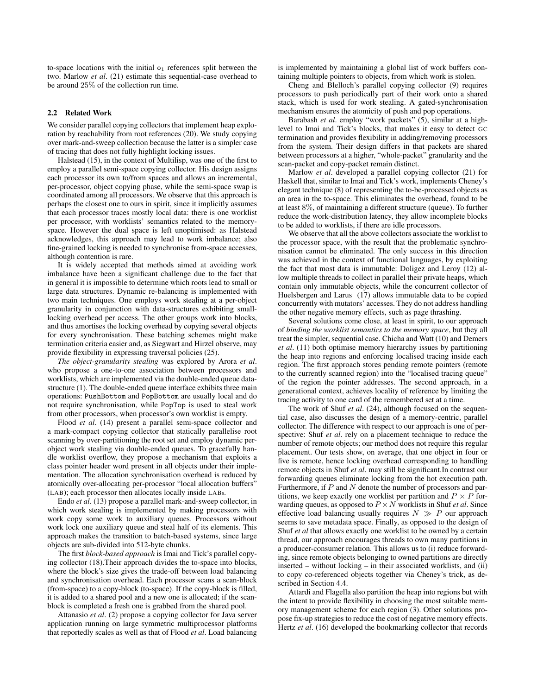to-space locations with the initial  $o_1$  references split between the two. Marlow *et al*. (21) estimate this sequential-case overhead to be around 25% of the collection run time.

#### 2.2 Related Work

We consider parallel copying collectors that implement heap exploration by reachability from root references (20). We study copying over mark-and-sweep collection because the latter is a simpler case of tracing that does not fully highlight locking issues.

Halstead (15), in the context of Multilisp, was one of the first to employ a parallel semi-space copying collector. His design assigns each processor its own to/from spaces and allows an incremental, per-processor, object copying phase, while the semi-space swap is coordinated among all processors. We observe that this approach is perhaps the closest one to ours in spirit, since it implicitly assumes that each processor traces mostly local data: there is one worklist per processor, with worklists' semantics related to the memoryspace. However the dual space is left unoptimised: as Halstead acknowledges, this approach may lead to work imbalance; also fine-grained locking is needed to synchronise from-space accesses, although contention is rare.

It is widely accepted that methods aimed at avoiding work imbalance have been a significant challenge due to the fact that in general it is impossible to determine which roots lead to small or large data structures. Dynamic re-balancing is implemented with two main techniques. One employs work stealing at a per-object granularity in conjunction with data-structures exhibiting smalllocking overhead per access. The other groups work into blocks, and thus amortises the locking overhead by copying several objects for every synchronisation. These batching schemes might make termination criteria easier and, as Siegwart and Hirzel observe, may provide flexibility in expressing traversal policies (25).

*The object-granularity stealing* was explored by Arora *et al*. who propose a one-to-one association between processors and worklists, which are implemented via the double-ended queue datastructure (1). The double-ended queue interface exhibits three main operations: PushBottom and PopBottom are usually local and do not require synchronisation, while PopTop is used to steal work from other processors, when processor's own worklist is empty.

Flood *et al*. (14) present a parallel semi-space collector and a mark-compact copying collector that statically parallelise root scanning by over-partitioning the root set and employ dynamic perobject work stealing via double-ended queues. To gracefully handle worklist overflow, they propose a mechanism that exploits a class pointer header word present in all objects under their implementation. The allocation synchronisation overhead is reduced by atomically over-allocating per-processor "local allocation buffers" (LAB); each processor then allocates locally inside LABs.

Endo *et al*. (13) propose a parallel mark-and-sweep collector, in which work stealing is implemented by making processors with work copy some work to auxiliary queues. Processors without work lock one auxiliary queue and steal half of its elements. This approach makes the transition to batch-based systems, since large objects are sub-divided into 512-byte chunks.

The first *block-based approach* is Imai and Tick's parallel copying collector (18).Their approach divides the to-space into blocks, where the block's size gives the trade-off between load balancing and synchronisation overhead. Each processor scans a scan-block (from-space) to a copy-block (to-space). If the copy-block is filled, it is added to a shared pool and a new one is allocated; if the scanblock is completed a fresh one is grabbed from the shared pool.

Attanasio *et al*. (2) propose a copying collector for Java server application running on large symmetric multiprocessor platforms that reportedly scales as well as that of Flood *et al*. Load balancing is implemented by maintaining a global list of work buffers containing multiple pointers to objects, from which work is stolen.

Cheng and Blelloch's parallel copying collector (9) requires processors to push periodically part of their work onto a shared stack, which is used for work stealing. A gated-synchronisation mechanism ensures the atomicity of push and pop operations.

Barabash *et al.* employ "work packets" (5), similar at a highlevel to Imai and Tick's blocks, that makes it easy to detect GC termination and provides flexibility in adding/removing processors from the system. Their design differs in that packets are shared between processors at a higher, "whole-packet" granularity and the scan-packet and copy-packet remain distinct.

Marlow *et al*. developed a parallel copying collector (21) for Haskell that, similar to Imai and Tick's work, implements Cheney's elegant technique (8) of representing the to-be-processed objects as an area in the to-space. This eliminates the overhead, found to be at least 8%, of maintaining a different structure (queue). To further reduce the work-distribution latency, they allow incomplete blocks to be added to worklists, if there are idle processors.

We observe that all the above collectors associate the worklist to the processor space, with the result that the problematic synchronisation cannot be eliminated. The only success in this direction was achieved in the context of functional languages, by exploiting the fact that most data is immutable: Doligez and Leroy (12) allow multiple threads to collect in parallel their private heaps, which contain only immutable objects, while the concurrent collector of Huelsbergen and Larus (17) allows immutable data to be copied concurrently with mutators' accesses. They do not address handling the other negative memory effects, such as page thrashing.

Several solutions come close, at least in spirit, to our approach of *binding the worklist semantics to the memory space*, but they all treat the simpler, sequential case. Chicha and Watt (10) and Demers *et al*. (11) both optimise memory hierarchy issues by partitioning the heap into regions and enforcing localised tracing inside each region. The first approach stores pending remote pointers (remote to the currently scanned region) into the "localised tracing queue" of the region the pointer addresses. The second approach, in a generational context, achieves locality of reference by limiting the tracing activity to one card of the remembered set at a time.

The work of Shuf *et al*. (24), although focused on the sequential case, also discusses the design of a memory-centric, parallel collector. The difference with respect to our approach is one of perspective: Shuf *et al*. rely on a placement technique to reduce the number of remote objects; our method does not require this regular placement. Our tests show, on average, that one object in four or five is remote, hence locking overhead corresponding to handling remote objects in Shuf *et al*. may still be significant.In contrast our forwarding queues eliminate locking from the hot execution path. Furthermore, if  $P$  and  $N$  denote the number of processors and partitions, we keep exactly one worklist per partition and  $P \times P$  forwarding queues, as opposed to  $P \times N$  worklists in Shuf *et al.* Since effective load balancing usually requires  $N \gg P$  our approach seems to save metadata space. Finally, as opposed to the design of Shuf *et al* that allows exactly one worklist to be owned by a certain thread, our approach encourages threads to own many partitions in a producer-consumer relation. This allows us to (i) reduce forwarding, since remote objects belonging to owned partitions are directly inserted – without locking – in their associated worklists, and (ii) to copy co-referenced objects together via Cheney's trick, as described in Section 4.4.

Attardi and Flagella also partition the heap into regions but with the intent to provide flexibility in choosing the most suitable memory management scheme for each region (3). Other solutions propose fix-up strategies to reduce the cost of negative memory effects. Hertz *et al*. (16) developed the bookmarking collector that records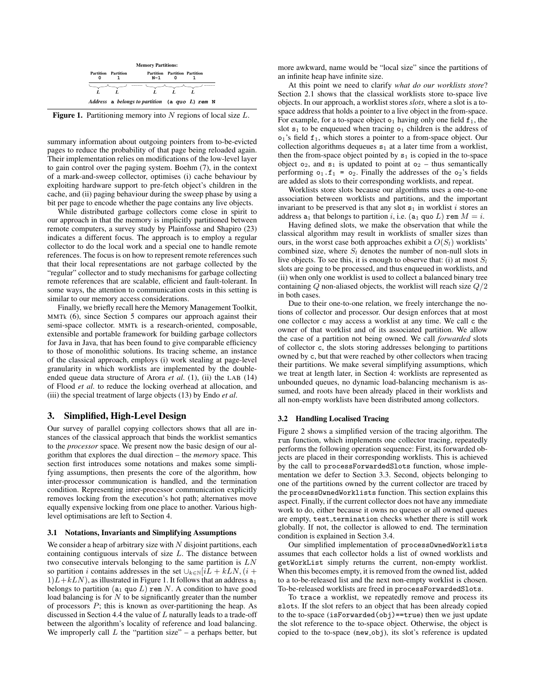| <b>Memory Partitions:</b> |                            |                                                   |                                      |  |  |
|---------------------------|----------------------------|---------------------------------------------------|--------------------------------------|--|--|
|                           | <b>Partition</b> Partition | N-1                                               | <b>Partition Partition Partition</b> |  |  |
|                           |                            |                                                   |                                      |  |  |
|                           |                            | Address a belongs to partition (a quo $L$ ) rem N |                                      |  |  |

**Figure 1.** Partitioning memory into  $N$  regions of local size  $L$ .

summary information about outgoing pointers from to-be-evicted pages to reduce the probability of that page being reloaded again. Their implementation relies on modifications of the low-level layer to gain control over the paging system. Boehm (7), in the context of a mark-and-sweep collector, optimises (i) cache behaviour by exploiting hardware support to pre-fetch object's children in the cache, and (ii) paging behaviour during the sweep phase by using a bit per page to encode whether the page contains any live objects.

While distributed garbage collectors come close in spirit to our approach in that the memory is implicitly partitioned between remote computers, a survey study by Plainfosse and Shapiro (23) indicates a different focus. The approach is to employ a regular collector to do the local work and a special one to handle remote references. The focus is on how to represent remote references such that their local representations are not garbage collected by the "regular" collector and to study mechanisms for garbage collecting remote references that are scalable, efficient and fault-tolerant. In some ways, the attention to communication costs in this setting is similar to our memory access considerations.

Finally, we briefly recall here the Memory Management Toolkit, MMTk (6), since Section 5 compares our approach against their semi-space collector. MMTk is a research-oriented, composable, extensible and portable framework for building garbage collectors for Java in Java, that has been found to give comparable efficiency to those of monolithic solutions. Its tracing scheme, an instance of the classical approach, employs (i) work stealing at page-level granularity in which worklists are implemented by the doubleended queue data structure of Arora *et al*. (1), (ii) the LAB (14) of Flood *et al*. to reduce the locking overhead at allocation, and (iii) the special treatment of large objects (13) by Endo *et al*.

# 3. Simplified, High-Level Design

Our survey of parallel copying collectors shows that all are instances of the classical approach that binds the worklist semantics to the *processor* space. We present now the basic design of our algorithm that explores the dual direction – the *memory* space. This section first introduces some notations and makes some simplifying assumptions, then presents the core of the algorithm, how inter-processor communication is handled, and the termination condition. Representing inter-processor communication explicitly removes locking from the execution's hot path; alternatives move equally expensive locking from one place to another. Various highlevel optimisations are left to Section 4.

#### 3.1 Notations, Invariants and Simplifying Assumptions

We consider a heap of arbitrary size with  $N$  disjoint partitions, each containing contiguous intervals of size L. The distance between two consecutive intervals belonging to the same partition is  $LN$ so partition *i* contains addresses in the set  $\bigcup_{k\in\mathbb{N}}[iL + kLN, (i +$  $1)\overline{L}+kLN$ , as illustrated in Figure 1. It follows that an address  $a_1$ belongs to partition ( $a_1$  quo L) rem N. A condition to have good load balancing is for  $N$  to be significantly greater than the number of processors  $P$ ; this is known as over-partitioning the heap. As discussed in Section 4.4 the value of  $L$  naturally leads to a trade-off between the algorithm's locality of reference and load balancing. We improperly call  $L$  the "partition size" – a perhaps better, but more awkward, name would be "local size" since the partitions of an infinite heap have infinite size.

At this point we need to clarify *what do our worklists store*? Section 2.1 shows that the classical worklists store to-space live objects. In our approach, a worklist stores *slots*, where a slot is a tospace address that holds a pointer to a live object in the from-space. For example, for a to-space object  $o_1$  having only one field  $f_1$ , the slot  $s_1$  to be enqueued when tracing  $o_1$  children is the address of o1's field f1, which stores a pointer to a from-space object. Our collection algorithms dequeues  $s_1$  at a later time from a worklist, then the from-space object pointed by  $s_1$  is copied in the to-space object  $o_2$ , and  $s_1$  is updated to point at  $o_2$  – thus semantically performing  $o_1$ .  $f_1 = o_2$ . Finally the addresses of the  $o_2$ 's fields are added as slots to their corresponding worklists, and repeat.

Worklists store slots because our algorithms uses a one-to-one association between worklists and partitions, and the important invariant to be preserved is that any slot  $s_1$  in worklist i stores an address  $a_1$  that belongs to partition i, i.e. ( $a_1$  quo L) rem  $M = i$ .

Having defined slots, we make the observation that while the classical algorithm may result in worklists of smaller sizes than ours, in the worst case both approaches exhibit a  $O(S_l)$  worklists' combined size, where  $S_l$  denotes the number of non-null slots in live objects. To see this, it is enough to observe that: (i) at most  $S_l$ slots are going to be processed, and thus enqueued in worklists, and (ii) when only one worklist is used to collect a balanced binary tree containing  $Q$  non-aliased objects, the worklist will reach size  $Q/2$ in both cases.

Due to their one-to-one relation, we freely interchange the notions of collector and processor. Our design enforces that at most one collector c may access a worklist at any time. We call c the owner of that worklist and of its associated partition. We allow the case of a partition not being owned. We call *forwarded* slots of collector c, the slots storing addresses belonging to partitions owned by c, but that were reached by other collectors when tracing their partitions. We make several simplifying assumptions, which we treat at length later, in Section 4: worklists are represented as unbounded queues, no dynamic load-balancing mechanism is assumed, and roots have been already placed in their worklists and all non-empty worklists have been distributed among collectors.

## 3.2 Handling Localised Tracing

Figure 2 shows a simplified version of the tracing algorithm. The run function, which implements one collector tracing, repeatedly performs the following operation sequence: First, its forwarded objects are placed in their corresponding worklists. This is achieved by the call to processForwardedSlots function, whose implementation we defer to Section 3.3. Second, objects belonging to one of the partitions owned by the current collector are traced by the processOwnedWorklists function. This section explains this aspect. Finally, if the current collector does not have any immediate work to do, either because it owns no queues or all owned queues are empty, test\_termination checks whether there is still work globally. If not, the collector is allowed to end. The termination condition is explained in Section 3.4.

Our simplified implementation of processOwnedWorklists assumes that each collector holds a list of owned worklists and getWorkList simply returns the current, non-empty worklist. When this becomes empty, it is removed from the owned list, added to a to-be-released list and the next non-empty worklist is chosen. To-be-released worklists are freed in processForwardedSlots.

To trace a worklist, we repeatedly remove and process its slots. If the slot refers to an object that has been already copied to the to-space (isForwarded(obj)==true) then we just update the slot reference to the to-space object. Otherwise, the object is copied to the to-space (new obj), its slot's reference is updated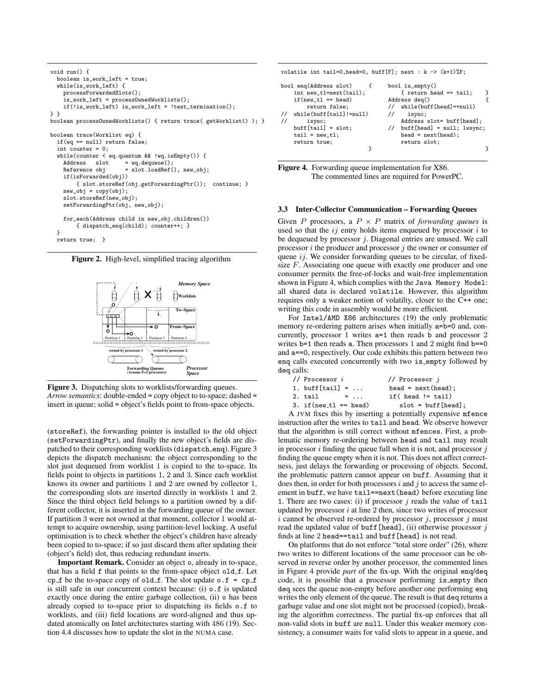```
void run() {
  boolean is_work_left = true;
  while(is_work_left) {
    processForwardedSlots();
    .<br>is_work_left = process0wnedWorklists();
    if(!is_work_left) is_work_left = !test_termination();
} }
boolean processOwnedWorklists() { return trace( getWorklist() ); }
boolean trace(Worklist wq) {
  if(wq == null) return false;
  int counter = 0;
  while(counter \leq wq.quantum && !wq.isEmpty()) {<br>Address slot = wq.dequeue():
                        = wq.dequeue():
    Reference obj = slot.loadRef(), new\_obj;
    if(isForwarded(obj))
        { slot.storeRef(obj.getForwardingPtr()); continue; }
    new\_obj = copy(obj);slot.storeRef(new_obj);
    setForwardingPtr(obj, new_obj);
    for each(Address child in new_obj.children())
        { dispatch_enq(child); counter++; }
  }
  return true; }
```




Figure 3. Dispatching slots to worklists/forwarding queues. *Arrow semantics*: double-ended = copy object to to-space; dashed = insert in queue; solid = object's fields point to from-space objects.

(storeRef), the forwarding pointer is installed to the old object (setForwardingPtr), and finally the new object's fields are dispatched to their corresponding worklists (dispatch\_enq). Figure 3 depicts the dispatch mechanism: the object corresponding to the slot just dequeued from worklist 1 is copied to the to-space. Its fields point to objects in partitions 1, 2 and 3. Since each worklist knows its owner and partitions 1 and 2 are owned by collector 1, the corresponding slots are inserted directly in worklists 1 and 2. Since the third object field belongs to a partition owned by a different collector, it is inserted in the forwarding queue of the owner. If partition 3 were not owned at that moment, collector 1 would attempt to acquire ownership, using partition-level locking. A useful optimisation is to check whether the object's children have already been copied to to-space; if so just discard them after updating their (object's field) slot, thus reducing redundant inserts.

Important Remark. Consider an object o, already in to-space, that has a field f that points to the from-space object old f. Let cp  $f$  be the to-space copy of old  $f$ . The slot update o.f = cp  $f$ is still safe in our concurrent context because: (i) o.f is updated exactly once during the entire garbage collection, (ii) o has been already copied to to-space prior to dispatching its fields o.f to worklists, and (iii) field locations are word-aligned and thus updated atomically on Intel architectures starting with 486 (19). Section 4.4 discusses how to update the slot in the NUMA case.

volatile int tail=0, head=0, buff[F]; next : k ->  $(k+1)$ %F; bool enq(Address slot) { bool is\_empty()<br>int new\_tl=next(tail); { return head == tail; int new\_tl=next(tail);  $\{$  return head == tail;  $\}$  $\begin{array}{lll} \text{if (new_t1 == head)} & \text{Address deg()} & \{ \\ \text{return false;} & \text{ // while (buff [head]==null)} \end{array}$  $\frac{1}{2}$  while(buff[head]==null) // while(buff[tail]!=null) // isync; // isync; Address slot= buff[head];  $buff[head] = null; lwsync;$  $tail = new t1;$  head = next(head); return true;<br>  $\begin{aligned} \text{return slot;} \end{aligned}$ 

} }

Figure 4. Forwarding queue implementation for X86. The commented lines are required for PowerPC.

#### 3.3 Inter-Collector Communication – Forwarding Queues

Given P processors, a  $P \times P$  matrix of *forwarding queues* is used so that the  $ij$  entry holds items enqueued by processor  $i$  to be dequeued by processor  $j$ . Diagonal entries are unused. We call processor  $i$  the producer and processor  $j$  the owner or consumer of queue  $ij$ . We consider forwarding queues to be circular, of fixedsize  $F$ . Associating one queue with exactly one producer and one consumer permits the free-of-locks and wait-free implementation shown in Figure 4, which complies with the Java Memory Model: all shared data is declared volatile. However, this algorithm requires only a weaker notion of volatilty, closer to the C++ one; writing this code in assembly would be more efficient.

For Intel/AMD X86 architectures (19) the only problematic memory re-ordering pattern arises when initially  $a=b=0$  and, concurrently, processor 1 writes a=1 then reads b and processor 2 writes  $b=1$  then reads a. Then processors 1 and 2 might find  $b==0$ and a==0, respectively. Our code exhibits this pattern between two enq calls executed concurrently with two is empty followed by deq calls:

| // Processor $i$                                        | // Processor $i$       |
|---------------------------------------------------------|------------------------|
| 1. buff $[tail] = $                                     | $head = next(head);$   |
| 2. tail<br>$\blacksquare$ $\blacksquare$ $\blacksquare$ | $if( head != tail)$    |
| 3. if $(new_t1 == head)$                                | $slot = buffer[head];$ |
|                                                         |                        |

A JVM fixes this by inserting a potentially expensive mfence instruction after the writes to tail and head. We observe however that the algorithm is still correct without mfences. First, a problematic memory re-ordering between head and tail may result in processor  $i$  finding the queue full when it is not, and processor  $j$ finding the queue empty when it is not. This does not affect correctness, just delays the forwarding or processing of objects. Second, the problematic pattern cannot appear on buff. Assuming that it does then, in order for both processors  $i$  and  $j$  to access the same element in buff, we have tail==next (head) before executing line 1. There are two cases: (i) if processor  $j$  reads the value of  $\text{tail}$ updated by processor  $i$  at line 2 then, since two writes of processor i cannot be observed re-ordered by processor  $i$ , processor  $j$  must read the updated value of buff [head], (ii) otherwise processor  $j$ finds at line 2 head==tail and buff[head] is not read.

On platforms that do not enforce "total store order" (26), where two writes to different locations of the same processor can be observed in reverse order by another processor, the commented lines in Figure 4 provide *part* of the fix-up. With the original enq/deq code, it is possible that a processor performing is empty then deq sees the queue non-empty before another one performing enq writes the only element of the queue. The result is that deq returns a garbage value and one slot might not be processed (copied), breaking the algorithm correctness. The partial fix-up enforces that all non-valid slots in buff are null. Under this weaker memory consistency, a consumer waits for valid slots to appear in a queue, and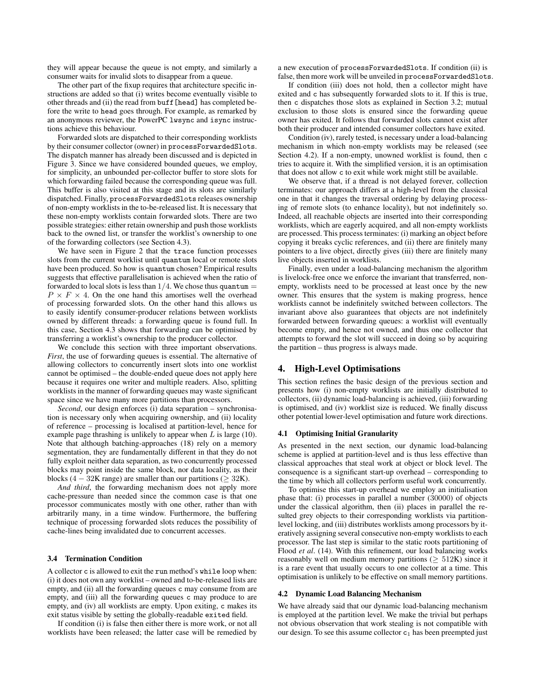they will appear because the queue is not empty, and similarly a consumer waits for invalid slots to disappear from a queue.

The other part of the fixup requires that architecture specific instructions are added so that (i) writes become eventually visible to other threads and (ii) the read from buff[head] has completed before the write to head goes through. For example, as remarked by an anonymous reviewer, the PowerPC lwsync and isync instructions achieve this behaviour.

Forwarded slots are dispatched to their corresponding worklists by their consumer collector (owner) in processForwardedSlots. The dispatch manner has already been discussed and is depicted in Figure 3. Since we have considered bounded queues, we employ, for simplicity, an unbounded per-collector buffer to store slots for which forwarding failed because the corresponding queue was full. This buffer is also visited at this stage and its slots are similarly dispatched. Finally, processForwardedSlots releases ownership of non-empty worklists in the to-be-released list. It is necessary that these non-empty worklists contain forwarded slots. There are two possible strategies: either retain ownership and push those worklists back to the owned list, or transfer the worklist's ownership to one of the forwarding collectors (see Section 4.3).

We have seen in Figure 2 that the trace function processes slots from the current worklist until quantum local or remote slots have been produced. So how is quantum chosen? Empirical results suggests that effective parallelisation is achieved when the ratio of forwarded to local slots is less than  $1/4$ . We chose thus quantum  $=$  $P \times F \times 4$ . On the one hand this amortises well the overhead of processing forwarded slots. On the other hand this allows us to easily identify consumer-producer relations between worklists owned by different threads: a forwarding queue is found full. In this case, Section 4.3 shows that forwarding can be optimised by transferring a worklist's ownership to the producer collector.

We conclude this section with three important observations. *First*, the use of forwarding queues is essential. The alternative of allowing collectors to concurrently insert slots into one worklist cannot be optimised – the double-ended queue does not apply here because it requires one writer and multiple readers. Also, splitting worklists in the manner of forwarding queues may waste significant space since we have many more partitions than processors.

*Second*, our design enforces (i) data separation – synchronisation is necessary only when acquiring ownership, and (ii) locality of reference – processing is localised at partition-level, hence for example page thrashing is unlikely to appear when  $L$  is large (10). Note that although batching-approaches (18) rely on a memory segmentation, they are fundamentally different in that they do not fully exploit neither data separation, as two concurrently processed blocks may point inside the same block, nor data locality, as their blocks (4 – 32K range) are smaller than our partitions ( $\geq$  32K).

*And third*, the forwarding mechanism does not apply more cache-pressure than needed since the common case is that one processor communicates mostly with one other, rather than with arbitrarily many, in a time window. Furthermore, the buffering technique of processing forwarded slots reduces the possibility of cache-lines being invalidated due to concurrent accesses.

# 3.4 Termination Condition

A collector c is allowed to exit the run method's while loop when: (i) it does not own any worklist – owned and to-be-released lists are empty, and (ii) all the forwarding queues c may consume from are empty, and (iii) all the forwarding queues c may produce to are empty, and (iv) all worklists are empty. Upon exiting, c makes its exit status visible by setting the globally-readable exited field.

If condition (i) is false then either there is more work, or not all worklists have been released; the latter case will be remedied by

a new execution of processForwardedSlots. If condition (ii) is false, then more work will be unveiled in processForwardedSlots.

If condition (iii) does not hold, then a collector might have exited and c has subsequently forwarded slots to it. If this is true, then c dispatches those slots as explained in Section 3.2; mutual exclusion to those slots is ensured since the forwarding queue owner has exited. It follows that forwarded slots cannot exist after both their producer and intended consumer collectors have exited.

Condition (iv), rarely tested, is necessary under a load-balancing mechanism in which non-empty worklists may be released (see Section 4.2). If a non-empty, unowned worklist is found, then c tries to acquire it. With the simplified version, it is an optimisation that does not allow c to exit while work might still be available.

We observe that, if a thread is not delayed forever, collection terminates: our approach differs at a high-level from the classical one in that it changes the traversal ordering by delaying processing of remote slots (to enhance locality), but not indefinitely so. Indeed, all reachable objects are inserted into their corresponding worklists, which are eagerly acquired, and all non-empty worklists are processed. This process terminates: (i) marking an object before copying it breaks cyclic references, and (ii) there are finitely many pointers to a live object, directly gives (iii) there are finitely many live objects inserted in worklists.

Finally, even under a load-balancing mechanism the algorithm is livelock-free once we enforce the invariant that transferred, nonempty, worklists need to be processed at least once by the new owner. This ensures that the system is making progress, hence worklists cannot be indefinitely switched between collectors. The invariant above also guarantees that objects are not indefinitely forwarded between forwarding queues: a worklist will eventually become empty, and hence not owned, and thus one collector that attempts to forward the slot will succeed in doing so by acquiring the partition – thus progress is always made.

## 4. High-Level Optimisations

This section refines the basic design of the previous section and presents how (i) non-empty worklists are initially distributed to collectors, (ii) dynamic load-balancing is achieved, (iii) forwarding is optimised, and (iv) worklist size is reduced. We finally discuss other potential lower-level optimisation and future work directions.

## 4.1 Optimising Initial Granularity

As presented in the next section, our dynamic load-balancing scheme is applied at partition-level and is thus less effective than classical approaches that steal work at object or block level. The consequence is a significant start-up overhead – corresponding to the time by which all collectors perform useful work concurrently.

To optimise this start-up overhead we employ an initialisation phase that: (i) processes in parallel a number (30000) of objects under the classical algorithm, then (ii) places in parallel the resulted grey objects to their corresponding worklists via partitionlevel locking, and (iii) distributes worklists among processors by iteratively assigning several consecutive non-empty worklists to each processor. The last step is similar to the static roots partitioning of Flood *et al*. (14). With this refinement, our load balancing works reasonably well on medium memory partitions ( $\geq 512K$ ) since it is a rare event that usually occurs to one collector at a time. This optimisation is unlikely to be effective on small memory partitions.

#### 4.2 Dynamic Load Balancing Mechanism

We have already said that our dynamic load-balancing mechanism is employed at the partition level. We make the trivial but perhaps not obvious observation that work stealing is not compatible with our design. To see this assume collector  $c_1$  has been preempted just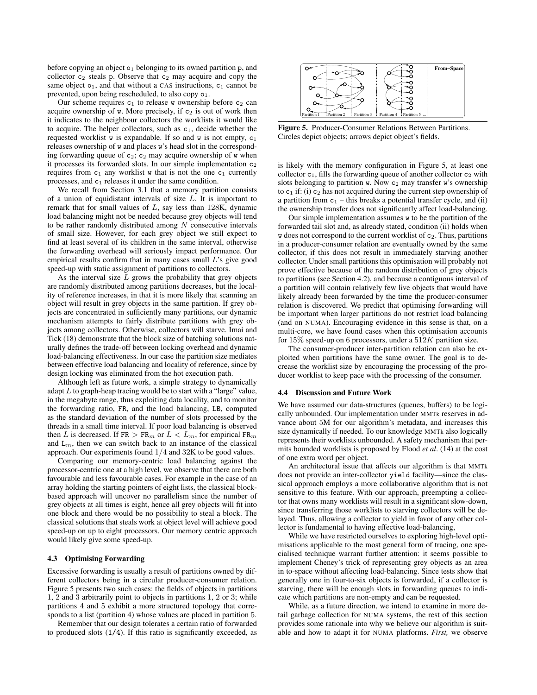before copying an object  $o_1$  belonging to its owned partition p, and collector  $c_2$  steals p. Observe that  $c_2$  may acquire and copy the same object  $o_1$ , and that without a CAS instructions,  $c_1$  cannot be prevented, upon being rescheduled, to also copy  $o_1$ .

Our scheme requires  $c_1$  to release w ownership before  $c_2$  can acquire ownership of  $w$ . More precisely, if  $c_2$  is out of work then it indicates to the neighbour collectors the worklists it would like to acquire. The helper collectors, such as  $c_1$ , decide whether the requested worklist w is expandable. If so and w is not empty,  $c_1$ releases ownership of w and places w's head slot in the corresponding forwarding queue of  $c_2$ ;  $c_2$  may acquire ownership of w when it processes its forwarded slots. In our simple implementation  $c_2$ requires from  $c_1$  any worklist w that is not the one  $c_1$  currently processes, and  $c_1$  releases it under the same condition.

We recall from Section 3.1 that a memory partition consists of a union of equidistant intervals of size  $L$ . It is important to remark that for small values of  $L$ , say less than 128K, dynamic load balancing might not be needed because grey objects will tend to be rather randomly distributed among  $N$  consecutive intervals of small size. However, for each grey object we still expect to find at least several of its children in the same interval, otherwise the forwarding overhead will seriously impact performance. Our empirical results confirm that in many cases small  $L$ 's give good speed-up with static assignment of partitions to collectors.

As the interval size  $L$  grows the probability that grey objects are randomly distributed among partitions decreases, but the locality of reference increases, in that it is more likely that scanning an object will result in grey objects in the same partition. If grey objects are concentrated in sufficiently many partitions, our dynamic mechanism attempts to fairly distribute partitions with grey objects among collectors. Otherwise, collectors will starve. Imai and Tick (18) demonstrate that the block size of batching solutions naturally defines the trade-off between locking overhead and dynamic load-balancing effectiveness. In our case the partition size mediates between effective load balancing and locality of reference, since by design locking was eliminated from the hot execution path.

Although left as future work, a simple strategy to dynamically adapt  $L$  to graph-heap tracing would be to start with a "large" value, in the megabyte range, thus exploiting data locality, and to monitor the forwarding ratio, FR, and the load balancing, LB, computed as the standard deviation of the number of slots processed by the threads in a small time interval. If poor load balancing is observed then L is decreased. If  $FR > FR_m$  or  $L < L_m$ , for empirical  $FR_m$ and  $L_m$ , then we can switch back to an instance of the classical approach. Our experiments found 1/4 and 32K to be good values.

Comparing our memory-centric load balancing against the processor-centric one at a high level, we observe that there are both favourable and less favourable cases. For example in the case of an array holding the starting pointers of eight lists, the classical blockbased approach will uncover no parallelism since the number of grey objects at all times is eight, hence all grey objects will fit into one block and there would be no possibility to steal a block. The classical solutions that steals work at object level will achieve good speed-up on up to eight processors. Our memory centric approach would likely give some speed-up.

# 4.3 Optimising Forwarding

Excessive forwarding is usually a result of partitions owned by different collectors being in a circular producer-consumer relation. Figure 5 presents two such cases: the fields of objects in partitions 1, 2 and 3 arbitrarily point to objects in partitions 1, 2 or 3; while partitions 4 and 5 exhibit a more structured topology that corresponds to a list (partition 4) whose values are placed in partition 5.

Remember that our design tolerates a certain ratio of forwarded to produced slots (1/4). If this ratio is significantly exceeded, as



Figure 5. Producer-Consumer Relations Between Partitions. Circles depict objects; arrows depict object's fields.

is likely with the memory configuration in Figure 5, at least one collector  $c_1$ , fills the forwarding queue of another collector  $c_2$  with slots belonging to partition w. Now  $c_2$  may transfer w's ownership to  $c_1$  if: (i)  $c_2$  has not acquired during the current step ownership of a partition from  $c_1$  – this breaks a potential transfer cycle, and (ii) the ownership transfer does not significantly affect load-balancing.

Our simple implementation assumes w to be the partition of the forwarded tail slot and, as already stated, condition (ii) holds when w does not correspond to the current worklist of  $c_2$ . Thus, partitions in a producer-consumer relation are eventually owned by the same collector, if this does not result in immediately starving another collector. Under small partitions this optimisation will probably not prove effective because of the random distribution of grey objects to partitions (see Section 4.2), and because a contiguous interval of a partition will contain relatively few live objects that would have likely already been forwarded by the time the producer-consumer relation is discovered. We predict that optimising forwarding will be important when larger partitions do not restrict load balancing (and on NUMA). Encouraging evidence in this sense is that, on a multi-core, we have found cases when this optimisation accounts for  $15\%$  speed-up on 6 processors, under a  $512K$  partition size.

The consumer-producer inter-partition relation can also be exploited when partitions have the same owner. The goal is to decrease the worklist size by encouraging the processing of the producer worklist to keep pace with the processing of the consumer.

#### 4.4 Discussion and Future Work

We have assumed our data-structures (queues, buffers) to be logically unbounded. Our implementation under MMTk reserves in advance about 5M for our algorithm's metadata, and increases this size dynamically if needed. To our knowledge MMTk also logically represents their worklists unbounded. A safety mechanism that permits bounded worklists is proposed by Flood *et al*. (14) at the cost of one extra word per object.

An architectural issue that affects our algorithm is that MMTk does not provide an inter-collector yield facility—since the classical approach employs a more collaborative algorithm that is not sensitive to this feature. With our approach, preempting a collector that owns many worklists will result in a significant slow-down, since transferring those worklists to starving collectors will be delayed. Thus, allowing a collector to yield in favor of any other collector is fundamental to having effective load-balancing,

While we have restricted ourselves to exploring high-level optimisations applicable to the most general form of tracing, one specialised technique warrant further attention: it seems possible to implement Cheney's trick of representing grey objects as an area in to-space without affecting load-balancing. Since tests show that generally one in four-to-six objects is forwarded, if a collector is starving, there will be enough slots in forwarding queues to indicate which partitions are non-empty and can be requested.

While, as a future direction, we intend to examine in more detail garbage collection for NUMA systems, the rest of this section provides some rationale into why we believe our algorithm is suitable and how to adapt it for NUMA platforms. *First,* we observe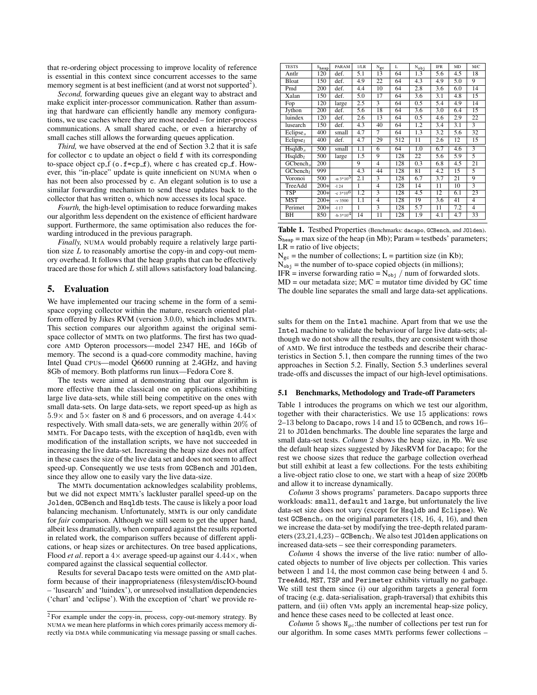that re-ordering object processing to improve locality of reference is essential in this context since concurrent accesses to the same memory segment is at best inefficient (and at worst not supported<sup>2</sup>).

*Second,* forwarding queues give an elegant way to abstract and make explicit inter-processor communication. Rather than assuming that hardware can efficiently handle any memory configurations, we use caches where they are most needed – for inter-process communications. A small shared cache, or even a hierarchy of small caches still allows the forwarding queues application.

*Third,* we have observed at the end of Section 3.2 that it is safe for collector c to update an object o field f with its corresponding to-space object cp  $f$  (o.f=cp  $f$ ), where c has created cp  $f$ . However, this "in-place" update is quite inneficient on NUMA when o has not been also processed by c. An elegant solution is to use a similar forwarding mechanism to send these updates back to the collector that has written o, which now accesses its local space.

*Fourth,* the high-level optimisation to reduce forwarding makes our algorithm less dependent on the existence of efficient hardware support. Furthermore, the same optimisation also reduces the forwarding introduced in the previous paragraph.

*Finally,* NUMA would probably require a relatively large partition size  $L$  to reasonably amortise the copy-in and copy-out memory overhead. It follows that the heap graphs that can be effectively traced are those for which  $L$  still allows satisfactory load balancing.

# 5. Evaluation

We have implemented our tracing scheme in the form of a semispace copying collector within the mature, research oriented platform offered by Jikes RVM (version 3.0.0), which includes MMTk. This section compares our algorithm against the original semispace collector of MMTk on two platforms. The first has two quadcore AMD Opteron processors—model 2347 HE, and 16Gb of memory. The second is a quad-core commodity machine, having Intel Quad CPUs—model Q6600 running at 2.4GHz, and having 8Gb of memory. Both platforms run linux—Fedora Core 8.

The tests were aimed at demonstrating that our algorithm is more effective than the classical one on applications exhibiting large live data-sets, while still being competitive on the ones with small data-sets. On large data-sets, we report speed-up as high as  $5.9\times$  and  $5\times$  faster on 8 and 6 processors, and on average  $4.44\times$ respectively. With small data-sets, we are generally within 20% of MMTk. For Dacapo tests, with the exception of hsqldb, even with modification of the installation scripts, we have not succeeded in increasing the live data-set. Increasing the heap size does not affect in these cases the size of the live data set and does not seem to affect speed-up. Consequently we use tests from GCBench and JOlden, since they allow one to easily vary the live data-size.

The MMTk documentation acknowledges scalability problems, but we did not expect MMTk's lackluster parallel speed-up on the Jolden, GCBench and Hsqldb tests. The cause is likely a poor load balancing mechanism. Unfortunately, MMTk is our only candidate for *fair* comparison. Although we still seem to get the upper hand, albeit less dramatically, when compared against the results reported in related work, the comparison suffers because of different applications, or heap sizes or architectures. On tree based applications, Flood *et al.* report a  $4 \times$  average speed-up against our  $4.44 \times$ , when compared against the classical sequential collector.

Results for several Dacapo tests were omitted on the AMD platform because of their inappropriateness (filesystem/discIO-bound – 'lusearch' and 'luindex'), or unresolved installation dependencies ('chart' and 'eclipse'). With the exception of 'chart' we provide re-

| <b>TESTS</b>           | S <sub>heap</sub> | PARAM        | 1/LR | $N_{gc}$        | L   | $N_{obj}$       | <b>IFR</b>      | MD              | M/C             |
|------------------------|-------------------|--------------|------|-----------------|-----|-----------------|-----------------|-----------------|-----------------|
| Antlr                  | 120               | def.         | 5.1  | 13              | 64  | 1.3             | 5.6             | 4.5             | 18              |
| Bloat                  | 150               | def.         | 4.9  | 22              | 64  | 4.3             | 4.9             | 5.0             | 9               |
| Pmd                    | 200               | def.         | 4.4  | 10              | 64  | 2.8             | 3.6             | 6.0             | 14              |
| Xalan                  | 150               | def.         | 5.0  | $\overline{17}$ | 64  | 3.6             | 3.1             | 4.8             | 15              |
| Fop                    | 120               | large        | 2.5  | 3               | 64  | 0.5             | 5.4             | 4.9             | 14              |
| Jython                 | 200               | def.         | 5.6  | 18              | 64  | 3.6             | 3.0             | 6.4             | 15              |
| luindex                | 120               | def.         | 2.6  | 13              | 64  | 0.5             | 4.6             | 2.9             | $\overline{22}$ |
| lusearch               | 150               | def.         | 4.3  | 40              | 64  | 1.2             | 3.4             | 3.1             | 3               |
| Eclipse <sub>s</sub>   | 400               | small        | 4.7  | 7               | 64  | 1.3             | 3.2             | 5.6             | 32              |
| Eclipse <sub>1</sub>   | 400               | def.         | 4.7  | 29              | 512 | 11              | 2.6             | 12              | 15              |
| $H$ sqldb $\sim$       | 500               | small        | 1.1  | 6               | 64  | 1.0             | 6.7             | 4.6             | 3               |
| $H$ sqldb <sub>1</sub> | 500               | large        | 1.5  | 9               | 128 | 22              | 5.6             | 5.9             | 5               |
| GCbench.               | 200               |              | 9    | $\overline{4}$  | 128 | 0.3             | 6.8             | 4.5             | 21              |
| GCbench <sub>1</sub>   | 999               |              | 4.3  | 44              | 128 | 81              | 4.2             | 15              | 5               |
| Voronoi                | 500               | $-n3*10^{5}$ | 2.1  | 3               | 128 | 6.7             | 3.7             | 21              | 9               |
| TreeAdd                | $200+$            | $-124$       | ī    | $\overline{4}$  | 128 | $\overline{14}$ | $\overline{11}$ | $\overline{10}$ | 3               |
| <b>TSP</b>             | $200+$            | $-c3*10^{6}$ | 1.2  | 3               | 128 | 4.5             | 12              | 6.1             | 23              |
| MST                    | $200+$            | $-v3500$     | 1.1  | 4               | 128 | 19              | 3.6             | 41              | 4               |
| Perimet                | $200+$            | $-117$       | 1    | 3               | 128 | 5.7             | $\overline{11}$ | 7.2             | $\overline{4}$  |
| ВH                     | 850               | $-b3*104$    | 14   | 11              | 128 | 1.9             | 4.1             | 4.7             | 33              |

Table 1. Testbed Properties (Benchmarks: dacapo, GCBench, and JOlden).  $S_{\text{hean}}$  = max size of the heap (in Mb); Param = testbeds' parameters;  $LR =$  ratio of live objects;

 $N_{gc}$  = the number of collections; L = partition size (in Kb);

 $N_{obj}$  = the number of to-space copied objects (in millions);

IFR = inverse forwarding ratio =  $N_{obj}$  / num of forwarded slots.  $MD = our metadata size$ ;  $M/C = mutator time divided by GC time$ The double line separates the small and large data-set applications.

sults for them on the Intel machine. Apart from that we use the Intel machine to validate the behaviour of large live data-sets; although we do not show all the results, they are consistent with those of AMD. We first introduce the testbeds and describe their characteristics in Section 5.1, then compare the running times of the two approaches in Section 5.2. Finally, Section 5.3 underlines several trade-offs and discusses the impact of our high-level optimisations.

#### 5.1 Benchmarks, Methodology and Trade-off Parameters

Table 1 introduces the programs on which we test our algorithm, together with their characteristics. We use 15 applications: rows 2–13 belong to Dacapo, rows 14 and 15 to GCBench, and rows 16– 21 to JOlden benchmarks. The double line separates the large and small data-set tests. *Column* 2 shows the heap size, in Mb. We use the default heap sizes suggested by JikesRVM for Dacapo; for the rest we choose sizes that reduce the garbage collection overhead but still exhibit at least a few collections. For the tests exhibiting a live-object ratio close to one, we start with a heap of size 200Mb and allow it to increase dynamically.

*Column* 3 shows programs' parameters. Dacapo supports three workloads: small, default and large, but unfortunately the live data-set size does not vary (except for Hsqldb and Eclipse). We test GCBench<sub>s</sub> on the original parameters  $(18, 16, 4, 16)$ , and then we increase the data-set by modifying the tree-depth related parameters  $(23,21,4,23)$  – GCBench<sub>l</sub>. We also test JO1 den applications on increased data-sets – see their corresponding parameters.

*Column* 4 shows the inverse of the live ratio: number of allocated objects to number of live objects per collection. This varies between 1 and 14, the most common case being between 4 and 5. TreeAdd, MST, TSP and Perimeter exhibits virtually no garbage. We still test them since (i) our algorithm targets a general form of tracing (e.g. data-serialisation, graph-traversal) that exhibits this pattern, and (ii) often VMs apply an incremental heap-size policy, and hence these cases need to be collected at least once.

*Column* 5 shows  $N_{ac}$ :the number of collections per test run for our algorithm. In some cases MMTk performs fewer collections –

<sup>2</sup> For example under the copy-in, process, copy-out-memory strategy. By NUMA we mean here platforms in which cores primarily access memory directly via DMA while communicating via message passing or small caches.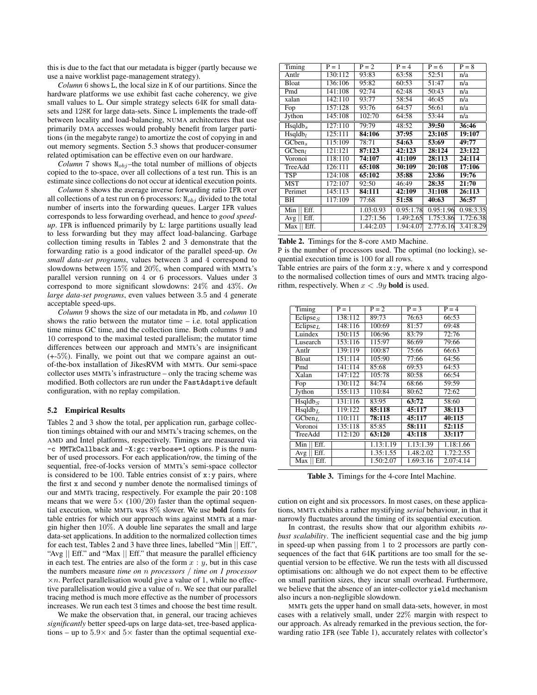this is due to the fact that our metadata is bigger (partly because we use a naive worklist page-management strategy).

*Column* 6 shows L, the local size in K of our partitions. Since the hardware platforms we use exhibit fast cache coherency, we give small values to L. Our simple strategy selects 64K for small datasets and 128K for large data-sets. Since L implements the trade-off between locality and load-balancing, NUMA architectures that use primarily DMA accesses would probably benefit from larger partitions (in the megabyte range) to amortize the cost of copying in and out memory segments. Section 5.3 shows that producer-consumer related optimisation can be effective even on our hardware.

*Column* 7 shows  $N_{obj}$  –the total number of millions of objects copied to the to-space, over all collections of a test run. This is an estimate since collections do not occur at identical execution points.

*Column* 8 shows the average inverse forwarding ratio IFR over all collections of a test run on 6 processors:  $N_{obj}$  divided to the total number of inserts into the forwarding queues. Larger IFR values corresponds to less forwarding overhead, and hence to *good speedup*. IFR is influenced primarily by L: large partitions usually lead to less forwarding but they may affect load-balancing. Garbage collection timing results in Tables 2 and 3 demonstrate that the forwarding ratio is a good indicator of the parallel speed-up. *On small data-set programs*, values between 3 and 4 correspond to slowdowns between 15% and 20%, when compared with MMTk's parallel version running on 4 or 6 processors. Values under 3 correspond to more significant slowdowns: 24% and 43%. *On large data-set programs*, even values between 3.5 and 4 generate acceptable speed-ups.

*Column* 9 shows the size of our metadata in Mb, and *column* 10 shows the ratio between the mutator time  $-$  i.e. total application time minus GC time, and the collection time. Both columns 9 and 10 correspond to the maximal tested parallelism; the mutator time differences between our approach and MMTk's are insignificant (+-5%). Finally, we point out that we compare against an outof-the-box installation of JikesRVM with MMTk. Our semi-space collector uses MMTk's infrastructure – only the tracing scheme was modified. Both collectors are run under the FastAdaptive default configuration, with no replay compilation.

#### 5.2 Empirical Results

Tables 2 and 3 show the total, per application run, garbage collection timings obtained with our and MMTk's tracing schemes, on the AMD and Intel platforms, respectively. Timings are measured via -c MMTkCallback and -X:gc:verbose=1 options. P is the number of used processors. For each application/row, the timing of the sequential, free-of-locks version of MMTk's semi-space collector is considered to be 100. Table entries consist of  $x: y$  pairs, where the first x and second y number denote the normalised timings of our and MMTk tracing, respectively. For example the pair 20:108 means that we were  $5 \times (100/20)$  faster than the optimal sequential execution, while MMTk was 8% slower. We use bold fonts for table entries for which our approach wins against MMTk at a margin higher then 10%. A double line separates the small and large data-set applications. In addition to the normalized collection times for each test, Tables 2 and 3 have three lines, labelled "Min || Eff.", "Avg || Eff." and "Max || Eff." that measure the parallel efficiency in each test. The entries are also of the form  $x : y$ , but in this case the numbers measure *time on* n *processors* / *time on 1 processor*  $\times n$ . Perfect parallelisation would give a value of 1, while no effective parallelisation would give a value of  $n$ . We see that our parallel tracing method is much more effective as the number of processors increases. We run each test 3 times and choose the best time result.

We make the observation that, in general, our tracing achieves *significantly* better speed-ups on large data-set, tree-based applications – up to  $5.9\times$  and  $5\times$  faster than the optimal sequential exe-

| Timing                 | $P = 1$ | $P = 2$   | $P = 4$   | $P = 6$   | $P = 8$   |
|------------------------|---------|-----------|-----------|-----------|-----------|
| Antlr                  | 130:112 | 93:83     | 63:58     | 52:51     | n/a       |
| Bloat                  | 136:106 | 95:82     | 60:53     | 51:47     | n/a       |
| Pmd                    | 141:108 | 92:74     | 62:48     | 50:43     | n/a       |
| xalan                  | 142:110 | 93:77     | 58:54     | 46:45     | n/a       |
| Fop                    | 157:128 | 93:76     | 64:57     | 56:61     | n/a       |
| Jython                 | 145:108 | 102:70    | 64:58     | 53:44     | n/a       |
| $H$ sqldb <sub>s</sub> | 127:110 | 79:79     | 48:52     | 39:50     | 36:46     |
| $H$ sqldb <sub>l</sub> | 125:111 | 84:106    | 37:95     | 23:105    | 19:107    |
| $GCben_s$              | 115:109 | 78:71     | 54:63     | 53:69     | 49:77     |
| GCben <sub>l</sub>     | 121:121 | 87:123    | 42:123    | 28:124    | 23:122    |
| Voronoi                | 118:110 | 74:107    | 41:109    | 28:113    | 24:114    |
| TreeAdd                | 126:111 | 65:108    | 30:109    | 20:108    | 17:106    |
| <b>TSP</b>             | 124:108 | 65:102    | 35:88     | 23:86     | 19:76     |
| MST                    | 172:107 | 92:50     | 46:49     | 28:35     | 21:70     |
| Perimet                | 145:113 | 84:111    | 42:109    | 31:108    | 26:113    |
| ΒH                     | 117:109 | 77:68     | 51:58     | 40:63     | 36:57     |
| Min $  $ Eff.          |         | 1.03:0.93 | 0.95:1.78 | 0.95:1.96 | 0.98:3.35 |
| Eff.<br>Avg            |         | 1.27:1.56 | 1.49:2.65 | 1.75:3.86 | 1.72:6.38 |
| Eff.<br>Max            |         | 1.44:2.03 | 1.94:4.07 | 2.77:6.16 | 3.41:8.29 |

Table 2. Timings for the 8-core AMD Machine.

P is the number of processors used. The optimal (no locking), sequential execution time is 100 for all rows.

Table entries are pairs of the form x:y, where x and y correspond to the normalised collection times of ours and MMTk tracing algorithm, respectively. When  $x < .9y$  **bold** is used.

| Timing                           | $P = 1$ | $P = 2$   | $P = 3$   | $P = 4$   |
|----------------------------------|---------|-----------|-----------|-----------|
| Eclipse <sub>S</sub>             | 138:112 | 89:73     | 76:63     | 66:53     |
| Eclipse <sub>L</sub>             | 148:116 | 100:69    | 81:57     | 69:48     |
| Luindex                          | 150:115 | 106:96    | 83:79     | 72:76     |
| Lusearch                         | 153:116 | 115:97    | 86:69     | 79:66     |
| Antlr                            | 139:119 | 100:87    | 75:66     | 66:63     |
| Bloat                            | 151:114 | 105:90    | 77:66     | 64:56     |
| Pmd                              | 141:114 | 85:68     | 69:53     | 64:53     |
| Xalan                            | 147:122 | 105:78    | 80:58     | 66:54     |
| Fop                              | 130:112 | 84:74     | 68:66     | 59:59     |
| Jython                           | 155:113 | 110:84    | 80:62     | 72:62     |
| $H\text{sgldb}_S$                | 131:116 | 83:95     | 63:72     | 58:60     |
| Hsqldb <sub>L</sub>              | 119:122 | 85:118    | 45:117    | 38:113    |
| $\overline{GC}$ ben <sub>L</sub> | 110:111 | 78:115    | 45:117    | 40:115    |
| Voronoi                          | 135:118 | 85:85     | 58:111    | 52:115    |
| TreeAdd                          | 112:120 | 63:120    | 43:118    | 33:117    |
| Eff.<br>Min                      |         | 1.13:1.19 | 1.13:1.39 | 1.18:1.66 |
| Eff.<br>Avg <sub>1</sub>         |         | 1.35:1.55 | 1.48:2.02 | 1.72:2.55 |
| Eff.<br>Max                      |         | 1.50:2.07 | 1.69:3.16 | 2.07:4.14 |

Table 3. Timings for the 4-core Intel Machine.

cution on eight and six processors. In most cases, on these applications, MMTk exhibits a rather mystifying *serial* behaviour, in that it narrowly fluctuates around the timing of its sequential execution.

In contrast, the results show that our algorithm exhibits *robust scalability*. The inefficient sequential case and the big jump in speed-up when passing from 1 to 2 processors are partly consequences of the fact that 64K partitions are too small for the sequential version to be effective. We run the tests with all discussed optimisations on: although we do not expect them to be effective on small partition sizes, they incur small overhead. Furthermore, we believe that the absence of an inter-collector yield mechanism also incurs a non-negligible slowdown.

MMTk gets the upper hand on small data-sets, however, in most cases with a relatively small, under 22% margin with respect to our approach. As already remarked in the previous section, the forwarding ratio IFR (see Table 1), accurately relates with collector's